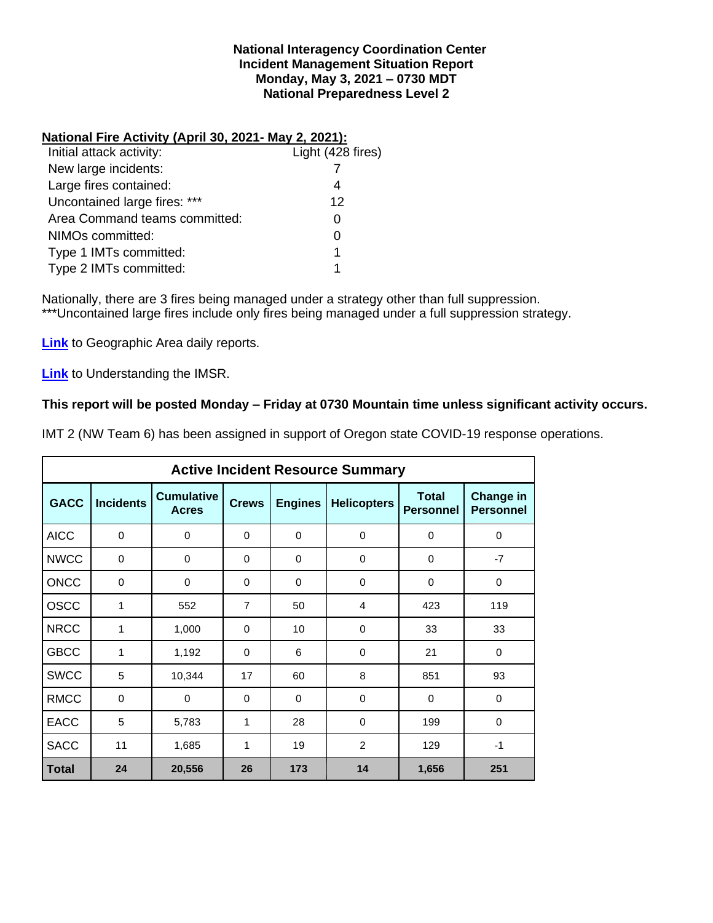### **National Interagency Coordination Center Incident Management Situation Report Monday, May 3, 2021 – 0730 MDT National Preparedness Level 2**

## **National Fire Activity (April 30, 2021- May 2, 2021):**

| Initial attack activity:      | Light (428 fires) |
|-------------------------------|-------------------|
| New large incidents:          |                   |
| Large fires contained:        | 4                 |
| Uncontained large fires: ***  | 12                |
| Area Command teams committed: |                   |
| NIMOs committed:              |                   |
| Type 1 IMTs committed:        | 1                 |
| Type 2 IMTs committed:        |                   |

Nationally, there are 3 fires being managed under a strategy other than full suppression. \*\*\*Uncontained large fires include only fires being managed under a full suppression strategy.

**[Link](http://www.nifc.gov/nicc/predictive/statelinks.htm)** to Geographic Area daily reports.

**[Link](https://www.predictiveservices.nifc.gov/intelligence/Understanding%20the%20IMSR%202019.pdf)** to Understanding the IMSR.

# **This report will be posted Monday – Friday at 0730 Mountain time unless significant activity occurs.**

IMT 2 (NW Team 6) has been assigned in support of Oregon state COVID-19 response operations.

|              |                  |                                   |                |                | <b>Active Incident Resource Summary</b> |                                  |                                      |
|--------------|------------------|-----------------------------------|----------------|----------------|-----------------------------------------|----------------------------------|--------------------------------------|
| <b>GACC</b>  | <b>Incidents</b> | <b>Cumulative</b><br><b>Acres</b> | <b>Crews</b>   | <b>Engines</b> | <b>Helicopters</b>                      | <b>Total</b><br><b>Personnel</b> | <b>Change in</b><br><b>Personnel</b> |
| <b>AICC</b>  | $\mathbf 0$      | 0                                 | $\Omega$       | $\Omega$       | 0                                       | $\Omega$                         | $\Omega$                             |
| <b>NWCC</b>  | $\mathbf 0$      | $\mathbf 0$                       | $\Omega$       | $\Omega$       | 0                                       | $\Omega$                         | $-7$                                 |
| <b>ONCC</b>  | 0                | 0                                 | $\Omega$       | $\Omega$       | $\Omega$                                | $\Omega$                         | $\Omega$                             |
| <b>OSCC</b>  | 1                | 552                               | $\overline{7}$ | 50             | 4                                       | 423                              | 119                                  |
| <b>NRCC</b>  | 1                | 1,000                             | 0              | 10             | 0                                       | 33                               | 33                                   |
| <b>GBCC</b>  | 1                | 1,192                             | $\Omega$       | 6              | $\Omega$                                | 21                               | $\Omega$                             |
| <b>SWCC</b>  | 5                | 10,344                            | 17             | 60             | 8                                       | 851                              | 93                                   |
| <b>RMCC</b>  | $\mathbf 0$      | 0                                 | $\Omega$       | $\Omega$       | 0                                       | 0                                | 0                                    |
| <b>EACC</b>  | 5                | 5,783                             | 1              | 28             | $\Omega$                                | 199                              | $\Omega$                             |
| <b>SACC</b>  | 11               | 1,685                             | 1              | 19             | $\overline{2}$                          | 129                              | $-1$                                 |
| <b>Total</b> | 24               | 20,556                            | 26             | 173            | 14                                      | 1,656                            | 251                                  |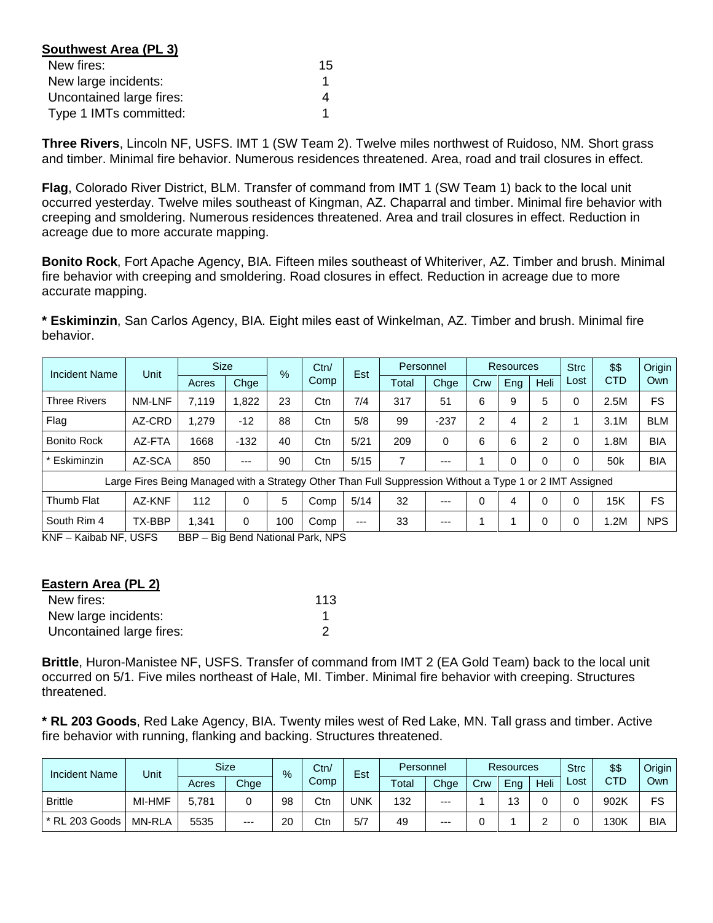| Southwest Area (PL 3)    |    |
|--------------------------|----|
| New fires:               | 15 |
| New large incidents:     |    |
| Uncontained large fires: |    |
| Type 1 IMTs committed:   |    |

**Three Rivers**, Lincoln NF, USFS. IMT 1 (SW Team 2). Twelve miles northwest of Ruidoso, NM. Short grass and timber. Minimal fire behavior. Numerous residences threatened. Area, road and trail closures in effect.

**Flag**, Colorado River District, BLM. Transfer of command from IMT 1 (SW Team 1) back to the local unit occurred yesterday. Twelve miles southeast of Kingman, AZ. Chaparral and timber. Minimal fire behavior with creeping and smoldering. Numerous residences threatened. Area and trail closures in effect. Reduction in acreage due to more accurate mapping.

**Bonito Rock**, Fort Apache Agency, BIA. Fifteen miles southeast of Whiteriver, AZ. Timber and brush. Minimal fire behavior with creeping and smoldering. Road closures in effect. Reduction in acreage due to more accurate mapping.

**\* Eskiminzin**, San Carlos Agency, BIA. Eight miles east of Winkelman, AZ. Timber and brush. Minimal fire behavior.

| Incident Name       | Unit                                                                                                     | <b>Size</b> |          | $\%$ | Ctn/<br>Comp | Est  | Personnel |        | <b>Resources</b> |          |      | <b>Strc</b> | \$\$            | Origin     |
|---------------------|----------------------------------------------------------------------------------------------------------|-------------|----------|------|--------------|------|-----------|--------|------------------|----------|------|-------------|-----------------|------------|
|                     |                                                                                                          | Acres       | Chge     |      |              |      | Total     | Chge   | Crw              | Eng      | Heli | Lost        | <b>CTD</b>      | Own        |
| <b>Three Rivers</b> | <b>NM-LNF</b>                                                                                            | 7.119       | 1.822    | 23   | Ctn          | 7/4  | 317       | 51     | 6                | 9        | 5    | 0           | 2.5M            | <b>FS</b>  |
| Flag                | AZ-CRD                                                                                                   | 1.279       | -12      | 88   | Ctn          | 5/8  | 99        | $-237$ | 2                | 4        | 2    |             | 3.1M            | <b>BLM</b> |
| <b>Bonito Rock</b>  | AZ-FTA                                                                                                   | 1668        | $-132$   | 40   | Ctn          | 5/21 | 209       | 0      | 6                | 6        | 2    | 0           | l.8M            | <b>BIA</b> |
| Eskiminzin          | AZ-SCA                                                                                                   | 850         | ---      | 90   | Ctn          | 5/15 | 7         | ---    |                  | $\Omega$ | 0    | 0           | 50 <sub>k</sub> | <b>BIA</b> |
|                     | Large Fires Being Managed with a Strategy Other Than Full Suppression Without a Type 1 or 2 IMT Assigned |             |          |      |              |      |           |        |                  |          |      |             |                 |            |
| Thumb Flat          | AZ-KNF                                                                                                   | 112         | $\Omega$ | 5    | Comp         | 5/14 | 32        | $---$  | $\Omega$         | 4        | 0    | $\Omega$    | 15K             | <b>FS</b>  |
| South Rim 4         | TX-BBP                                                                                                   | 1.341       | 0        | 100  | Comp         | ---  | 33        | $---$  |                  |          | 0    | 0           | .2M             | <b>NPS</b> |

KNF – Kaibab NF, USFS BBP – Big Bend National Park, NPS

| Eastern Area (PL 2)      |     |
|--------------------------|-----|
| New fires:               | 113 |
| New large incidents:     |     |
| Uncontained large fires: |     |

**Brittle**, Huron-Manistee NF, USFS. Transfer of command from IMT 2 (EA Gold Team) back to the local unit occurred on 5/1. Five miles northeast of Hale, MI. Timber. Minimal fire behavior with creeping. Structures threatened.

**\* RL 203 Goods**, Red Lake Agency, BIA. Twenty miles west of Red Lake, MN. Tall grass and timber. Active fire behavior with running, flanking and backing. Structures threatened.

| <b>Incident Name</b> | Unit          |       | <b>Size</b> | $\%$ | Ctn/ | Est | Personnel |       | <b>Resources</b> |      |      | <b>Strc</b> | \$\$       | Origin |
|----------------------|---------------|-------|-------------|------|------|-----|-----------|-------|------------------|------|------|-------------|------------|--------|
|                      |               | Acres | Chge        |      | Comp |     | Total     | Chge  | Crw              | Ena  | Heli | Lost        | <b>CTD</b> | Own    |
| <b>Brittle</b>       | MI-HMF        | 5.781 |             | 98   | Ctn  | UNK | 132       | $---$ |                  | -4.2 |      |             | 902K       | FS     |
| * RL 203 Goods       | <b>MN-RLA</b> | 5535  | $---$       | 20   | Ctn  | 5/7 | 49        | ---   |                  |      | ╭    |             | 130K       | BIA    |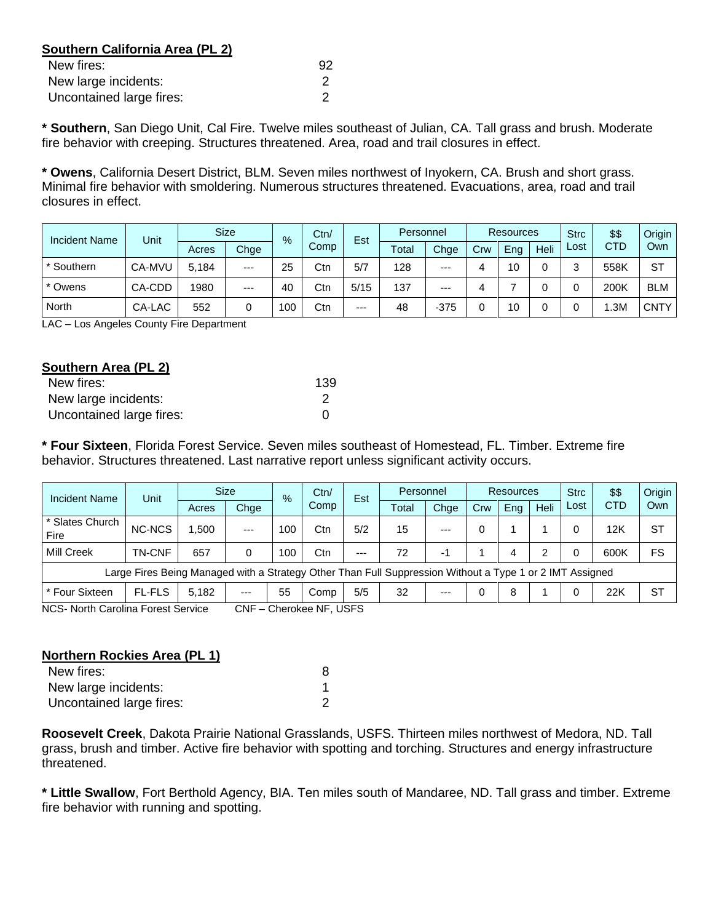# **Southern California Area (PL 2)**

| New fires:               | 92 |
|--------------------------|----|
| New large incidents:     |    |
| Uncontained large fires: |    |

**\* Southern**, San Diego Unit, Cal Fire. Twelve miles southeast of Julian, CA. Tall grass and brush. Moderate fire behavior with creeping. Structures threatened. Area, road and trail closures in effect.

**\* Owens**, California Desert District, BLM. Seven miles northwest of Inyokern, CA. Brush and short grass. Minimal fire behavior with smoldering. Numerous structures threatened. Evacuations, area, road and trail closures in effect.

| <b>Incident Name</b> | Unit   | <b>Size</b> |       | $\frac{9}{6}$ | Ctn/ | Est  |       | Personnel |     | <b>Resources</b> |             |      | \$\$       | Origin      |
|----------------------|--------|-------------|-------|---------------|------|------|-------|-----------|-----|------------------|-------------|------|------------|-------------|
|                      |        | Acres       | Chge  |               | Comp |      | Total | Chge      | Crw | Eng              | <b>Heli</b> | Lost | <b>CTD</b> | Own         |
| * Southern           | CA-MVU | 5.184       | $---$ | 25            | Ctn  | 5/7  | 128   | $---$     |     | 10               |             | ⌒    | 558K       | <b>ST</b>   |
| * Owens              | CA-CDD | 1980        | $--$  | 40            | Ctn  | 5/15 | 137   | $---$     |     |                  |             |      | 200K       | <b>BLM</b>  |
| North                | CA-LAC | 552         | 0     | 100           | Ctn  | $--$ | 48    | $-375$    |     | 10               |             |      | .3M        | <b>CNTY</b> |

LAC – Los Angeles County Fire Department

| Southern Area (PL 2)     |     |
|--------------------------|-----|
| New fires:               | 139 |
| New large incidents:     | 2   |
| Uncontained large fires: | O   |

**\* Four Sixteen**, Florida Forest Service. Seven miles southeast of Homestead, FL. Timber. Extreme fire behavior. Structures threatened. Last narrative report unless significant activity occurs.

| Incident Name                      | Unit                                                                                                     |       | <b>Size</b> | $\%$ | Ctn/<br>Comp      | Est   |       | Personnel |     | Resources |      |      | \$\$       | Origin    |
|------------------------------------|----------------------------------------------------------------------------------------------------------|-------|-------------|------|-------------------|-------|-------|-----------|-----|-----------|------|------|------------|-----------|
|                                    |                                                                                                          | Acres | Chge        |      |                   |       | Total | Chge      | Crw | Eng       | Heli | Lost | <b>CTD</b> | Own       |
| * Slates Church<br>Fire            | <b>NC-NCS</b>                                                                                            | 1.500 | $---$       | 100  | Ctn               | 5/2   | 15    | $--$      |     |           |      |      | 12K        | SТ        |
| Mill Creek                         | <b>TN-CNF</b>                                                                                            | 657   | 0           | 100  | Ctn               | $---$ | 72    | -1        |     | 4         | າ    |      | 600K       | FS        |
|                                    | Large Fires Being Managed with a Strategy Other Than Full Suppression Without a Type 1 or 2 IMT Assigned |       |             |      |                   |       |       |           |     |           |      |      |            |           |
| * Four Sixteen                     | <b>FL-FLS</b>                                                                                            | 5.182 | $---$       | 55   | Comp              | 5/5   | 32    | $--$      |     | 8         |      |      | 22K        | <b>ST</b> |
| NCS- North Carolina Forest Service |                                                                                                          |       | CNF.<br>—   |      | Cherokee NF, USFS |       |       |           |     |           |      |      |            |           |

#### **Northern Rockies Area (PL 1)**

| New fires:               |  |
|--------------------------|--|
| New large incidents:     |  |
| Uncontained large fires: |  |

**Roosevelt Creek**, Dakota Prairie National Grasslands, USFS. Thirteen miles northwest of Medora, ND. Tall grass, brush and timber. Active fire behavior with spotting and torching. Structures and energy infrastructure threatened.

**\* Little Swallow**, Fort Berthold Agency, BIA. Ten miles south of Mandaree, ND. Tall grass and timber. Extreme fire behavior with running and spotting.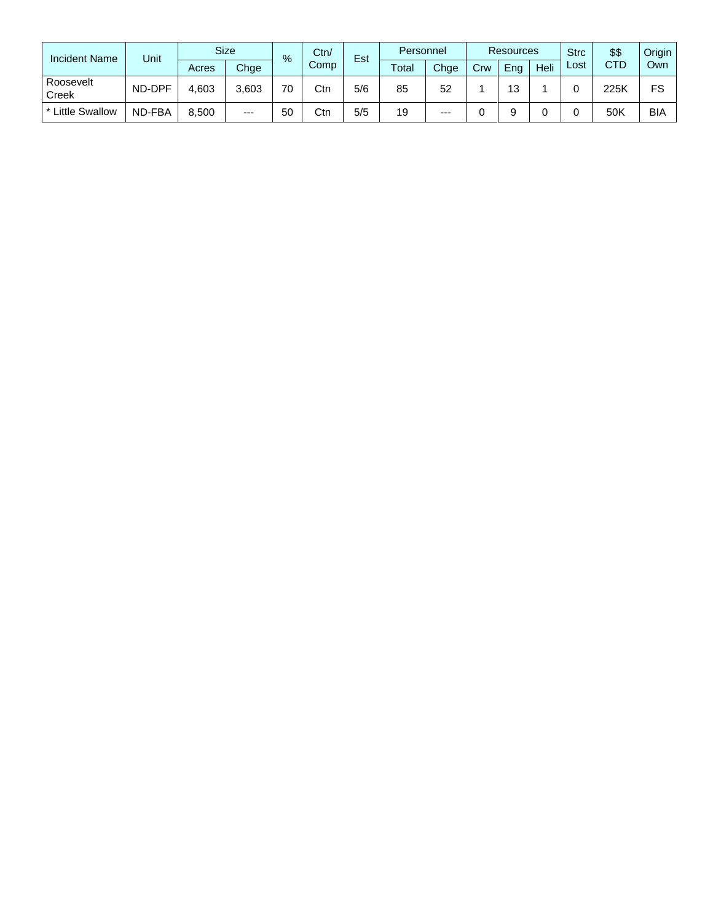| <b>Incident Name</b>    | Unit   |       | <b>Size</b> | %  | Ctn/ | Est | Personnel |      | <b>Resources</b> |     |      | <b>Strc</b> | \$\$       | Origin     |
|-------------------------|--------|-------|-------------|----|------|-----|-----------|------|------------------|-----|------|-------------|------------|------------|
|                         |        | Acres | Chge        |    | Comp |     | Total     | Chge | Crw              | Eng | Heli | Lost        | <b>CTD</b> | Own        |
| Roosevelt<br>Creek      | ND-DPF | 4,603 | 3,603       | 70 | Ctn  | 5/6 | 85        | 52   |                  | 12  |      |             | 225K       | FS         |
| <b>* Little Swallow</b> | ND-FBA | 8,500 | $---$       | 50 | Ctn  | 5/5 | 19        | $--$ |                  |     |      |             | 50K        | <b>BIA</b> |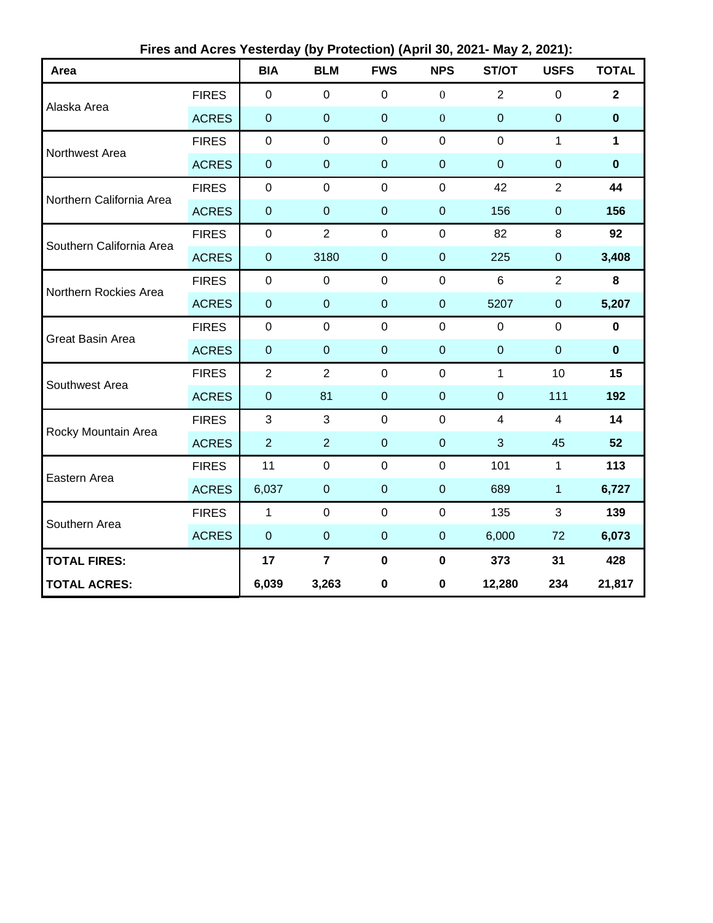| Area                     |              | <b>BIA</b>       | <b>BLM</b>     | <b>FWS</b>       | <b>NPS</b>       | ST/OT          | <b>USFS</b>      | <b>TOTAL</b>   |
|--------------------------|--------------|------------------|----------------|------------------|------------------|----------------|------------------|----------------|
| Alaska Area              | <b>FIRES</b> | $\mathbf 0$      | $\mathbf 0$    | $\overline{0}$   | $\boldsymbol{0}$ | $\overline{2}$ | 0                | $\overline{2}$ |
|                          | <b>ACRES</b> | $\pmb{0}$        | $\mathbf 0$    | $\mathbf 0$      | $\mathbf{0}$     | $\mathbf 0$    | $\pmb{0}$        | $\bf{0}$       |
| Northwest Area           | <b>FIRES</b> | $\pmb{0}$        | $\mathbf 0$    | $\mathbf 0$      | $\mathbf 0$      | $\mathbf 0$    | 1                | $\mathbf{1}$   |
|                          | <b>ACRES</b> | $\boldsymbol{0}$ | $\pmb{0}$      | $\mathbf 0$      | $\mathbf 0$      | $\overline{0}$ | $\mathbf 0$      | $\bf{0}$       |
| Northern California Area | <b>FIRES</b> | $\pmb{0}$        | $\mathbf 0$    | $\mathbf 0$      | $\mathbf 0$      | 42             | $\overline{2}$   | 44             |
|                          | <b>ACRES</b> | $\pmb{0}$        | $\mathbf 0$    | $\mathbf 0$      | $\mathbf 0$      | 156            | $\pmb{0}$        | 156            |
| Southern California Area | <b>FIRES</b> | $\pmb{0}$        | $\overline{2}$ | $\mathbf 0$      | $\mathbf 0$      | 82             | 8                | 92             |
|                          | <b>ACRES</b> | $\pmb{0}$        | 3180           | $\mathbf 0$      | $\mathbf 0$      | 225            | $\boldsymbol{0}$ | 3,408          |
| Northern Rockies Area    | <b>FIRES</b> | $\pmb{0}$        | $\mathbf 0$    | $\mathbf 0$      | $\mathbf 0$      | 6              | $\overline{2}$   | 8              |
|                          | <b>ACRES</b> | $\pmb{0}$        | $\pmb{0}$      | $\mathbf 0$      | $\boldsymbol{0}$ | 5207           | $\pmb{0}$        | 5,207          |
| Great Basin Area         | <b>FIRES</b> | $\mathsf 0$      | $\mathbf 0$    | $\mathbf 0$      | $\mathbf 0$      | $\mathbf 0$    | $\mathbf 0$      | $\pmb{0}$      |
|                          | <b>ACRES</b> | $\pmb{0}$        | $\mathbf 0$    | $\mathbf 0$      | $\mathbf 0$      | $\mathbf 0$    | $\pmb{0}$        | $\mathbf 0$    |
| Southwest Area           | <b>FIRES</b> | $\overline{2}$   | $\overline{2}$ | $\boldsymbol{0}$ | $\pmb{0}$        | $\mathbf{1}$   | 10               | 15             |
|                          | <b>ACRES</b> | $\pmb{0}$        | 81             | $\mathbf 0$      | $\boldsymbol{0}$ | $\pmb{0}$      | 111              | 192            |
| Rocky Mountain Area      | <b>FIRES</b> | 3                | 3              | $\mathbf 0$      | $\mathbf 0$      | $\overline{4}$ | 4                | 14             |
|                          | <b>ACRES</b> | $\overline{2}$   | $\overline{2}$ | $\mathbf 0$      | $\mathbf 0$      | 3              | 45               | 52             |
| Eastern Area             | <b>FIRES</b> | 11               | $\mathbf 0$    | $\mathbf 0$      | $\pmb{0}$        | 101            | $\mathbf{1}$     | 113            |
|                          | <b>ACRES</b> | 6,037            | $\pmb{0}$      | $\mathbf 0$      | $\mathbf 0$      | 689            | 1                | 6,727          |
| Southern Area            | <b>FIRES</b> | $\mathbf{1}$     | $\mathbf 0$    | $\mathbf 0$      | $\mathbf 0$      | 135            | 3                | 139            |
|                          | <b>ACRES</b> | $\pmb{0}$        | $\mathbf 0$    | $\mathbf 0$      | $\boldsymbol{0}$ | 6,000          | 72               | 6,073          |
| <b>TOTAL FIRES:</b>      |              | 17               | $\overline{7}$ | $\mathbf 0$      | $\mathbf 0$      | 373            | 31               | 428            |
| <b>TOTAL ACRES:</b>      |              | 6,039            | 3,263          | $\bf{0}$         | $\mathbf 0$      | 12,280         | 234              | 21,817         |

**Fires and Acres Yesterday (by Protection) (April 30, 2021- May 2, 2021):**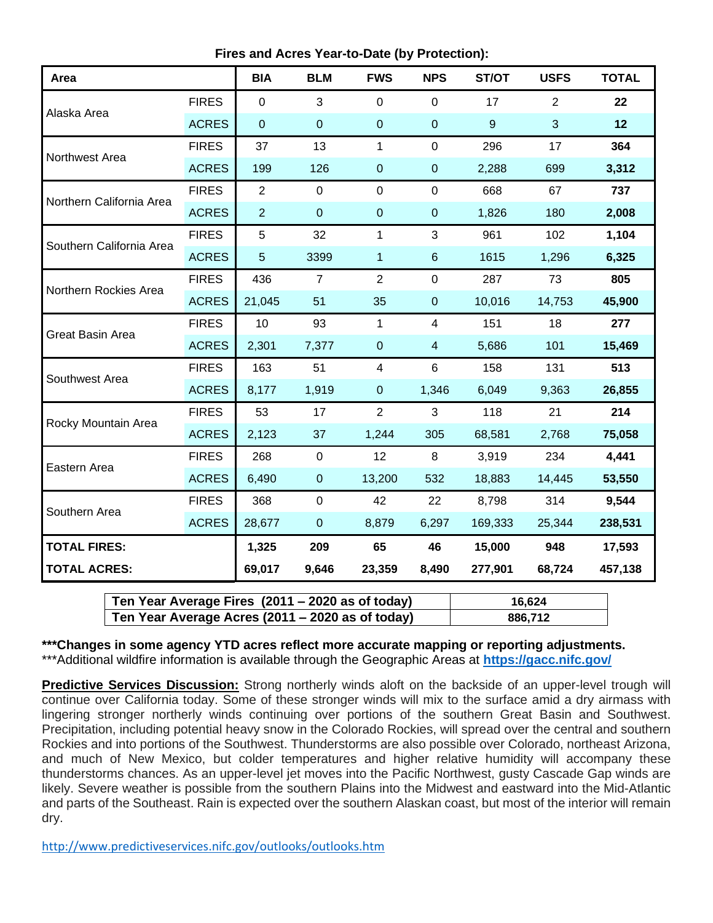**Fires and Acres Year-to-Date (by Protection):**

| Area                     |              | <b>BIA</b>     | <b>BLM</b>     | <b>FWS</b>              | <b>NPS</b>     | ST/OT          | <b>USFS</b> | <b>TOTAL</b> |
|--------------------------|--------------|----------------|----------------|-------------------------|----------------|----------------|-------------|--------------|
| Alaska Area              | <b>FIRES</b> | $\overline{0}$ | 3              | $\mathbf 0$             | $\overline{0}$ | 17             | 2           | 22           |
|                          | <b>ACRES</b> | $\mathbf 0$    | $\mathbf 0$    | $\mathbf 0$             | $\mathbf 0$    | $\overline{9}$ | 3           | 12           |
| Northwest Area           | <b>FIRES</b> | 37             | 13             | 1                       | $\mathbf 0$    | 296            | 17          | 364          |
|                          | <b>ACRES</b> | 199            | 126            | $\mathbf 0$             | $\pmb{0}$      | 2,288          | 699         | 3,312        |
| Northern California Area | <b>FIRES</b> | $\overline{2}$ | $\mathbf 0$    | $\mathbf 0$             | $\mathbf 0$    | 668            | 67          | 737          |
|                          | <b>ACRES</b> | $\overline{2}$ | $\mathbf 0$    | $\mathbf 0$             | $\pmb{0}$      | 1,826          | 180         | 2,008        |
| Southern California Area | <b>FIRES</b> | 5              | 32             | 1                       | $\mathbf{3}$   | 961            | 102         | 1,104        |
|                          | <b>ACRES</b> | 5              | 3399           | 1                       | $\,6\,$        | 1615           | 1,296       | 6,325        |
| Northern Rockies Area    | <b>FIRES</b> | 436            | $\overline{7}$ | $\overline{2}$          | $\mathbf 0$    | 287            | 73          | 805          |
|                          | <b>ACRES</b> | 21,045         | 51             | 35                      | $\pmb{0}$      | 10,016         | 14,753      | 45,900       |
| Great Basin Area         | <b>FIRES</b> | 10             | 93             | 1                       | $\overline{4}$ | 151            | 18          | 277          |
|                          | <b>ACRES</b> | 2,301          | 7,377          | $\overline{0}$          | $\overline{4}$ | 5,686          | 101         | 15,469       |
| Southwest Area           | <b>FIRES</b> | 163            | 51             | $\overline{\mathbf{4}}$ | 6              | 158            | 131         | 513          |
|                          | <b>ACRES</b> | 8,177          | 1,919          | $\pmb{0}$               | 1,346          | 6,049          | 9,363       | 26,855       |
| Rocky Mountain Area      | <b>FIRES</b> | 53             | 17             | $\overline{2}$          | 3              | 118            | 21          | 214          |
|                          | <b>ACRES</b> | 2,123          | 37             | 1,244                   | 305            | 68,581         | 2,768       | 75,058       |
| Eastern Area             | <b>FIRES</b> | 268            | $\mathbf 0$    | 12                      | 8              | 3,919          | 234         | 4,441        |
|                          | <b>ACRES</b> | 6,490          | $\pmb{0}$      | 13,200                  | 532            | 18,883         | 14,445      | 53,550       |
| Southern Area            | <b>FIRES</b> | 368            | $\pmb{0}$      | 42                      | 22             | 8,798          | 314         | 9,544        |
|                          | <b>ACRES</b> | 28,677         | $\pmb{0}$      | 8,879                   | 6,297          | 169,333        | 25,344      | 238,531      |
| <b>TOTAL FIRES:</b>      |              | 1,325          | 209            | 65                      | 46             | 15,000         | 948         | 17,593       |
| <b>TOTAL ACRES:</b>      |              | 69,017         | 9,646          | 23,359                  | 8,490          | 277,901        | 68,724      | 457,138      |

| Ten Year Average Fires (2011 – 2020 as of today) | 16.624  |
|--------------------------------------------------|---------|
| Ten Year Average Acres (2011 – 2020 as of today) | 886,712 |

**\*\*\*Changes in some agency YTD acres reflect more accurate mapping or reporting adjustments.** \*\*\*Additional wildfire information is available through the Geographic Areas at **<https://gacc.nifc.gov/>**

**Predictive Services Discussion:** Strong northerly winds aloft on the backside of an upper-level trough will continue over California today. Some of these stronger winds will mix to the surface amid a dry airmass with lingering stronger northerly winds continuing over portions of the southern Great Basin and Southwest. Precipitation, including potential heavy snow in the Colorado Rockies, will spread over the central and southern Rockies and into portions of the Southwest. Thunderstorms are also possible over Colorado, northeast Arizona, and much of New Mexico, but colder temperatures and higher relative humidity will accompany these thunderstorms chances. As an upper-level jet moves into the Pacific Northwest, gusty Cascade Gap winds are likely. Severe weather is possible from the southern Plains into the Midwest and eastward into the Mid-Atlantic and parts of the Southeast. Rain is expected over the southern Alaskan coast, but most of the interior will remain dry.

<http://www.predictiveservices.nifc.gov/outlooks/outlooks.htm>